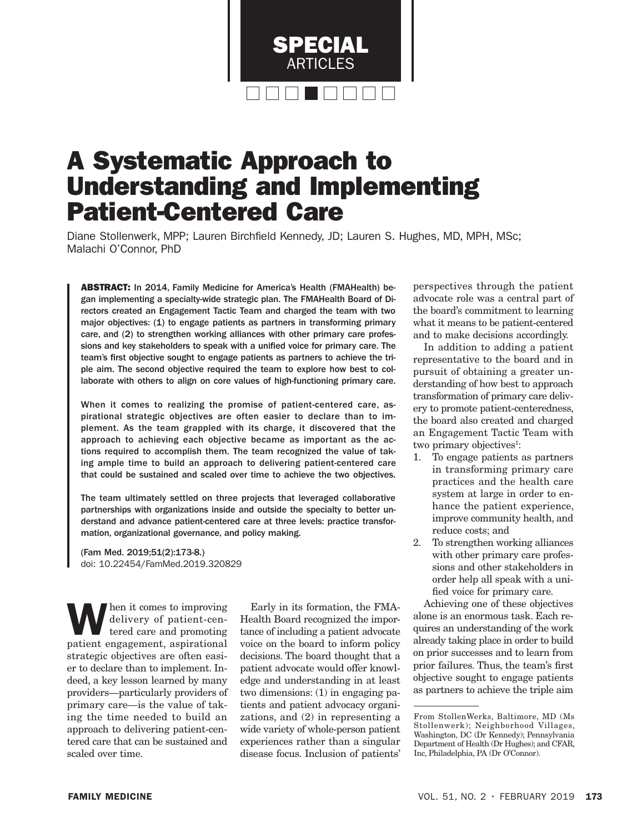

# A Systematic Approach to Understanding and Implementing Patient-Centered Care

Diane Stollenwerk, MPP; Lauren Birchfield Kennedy, JD; Lauren S. Hughes, MD, MPH, MSc; Malachi O'Connor, PhD

ABSTRACT: In 2014, Family Medicine for America's Health (FMAHealth) began implementing a specialty-wide strategic plan. The FMAHealth Board of Directors created an Engagement Tactic Team and charged the team with two major objectives: (1) to engage patients as partners in transforming primary care, and (2) to strengthen working alliances with other primary care professions and key stakeholders to speak with a unified voice for primary care. The team's first objective sought to engage patients as partners to achieve the triple aim. The second objective required the team to explore how best to collaborate with others to align on core values of high-functioning primary care.

When it comes to realizing the promise of patient-centered care, aspirational strategic objectives are often easier to declare than to implement. As the team grappled with its charge, it discovered that the approach to achieving each objective became as important as the actions required to accomplish them. The team recognized the value of taking ample time to build an approach to delivering patient-centered care that could be sustained and scaled over time to achieve the two objectives.

The team ultimately settled on three projects that leveraged collaborative partnerships with organizations inside and outside the specialty to better understand and advance patient-centered care at three levels: practice transformation, organizational governance, and policy making.

(Fam Med. 2019;51(2):173-8.) doi: 10.22454/FamMed.2019.320829

When it comes to improving<br>delivery of patient-cen-<br>tered care and promoting<br>national assignational delivery of patient-centered care and promoting patient engagement, aspirational strategic objectives are often easier to declare than to implement. Indeed, a key lesson learned by many providers—particularly providers of primary care—is the value of taking the time needed to build an approach to delivering patient-centered care that can be sustained and scaled over time.

Early in its formation, the FMA-Health Board recognized the importance of including a patient advocate voice on the board to inform policy decisions. The board thought that a patient advocate would offer knowledge and understanding in at least two dimensions: (1) in engaging patients and patient advocacy organizations, and (2) in representing a wide variety of whole-person patient experiences rather than a singular disease focus. Inclusion of patients'

perspectives through the patient advocate role was a central part of the board's commitment to learning what it means to be patient-centered and to make decisions accordingly.

In addition to adding a patient representative to the board and in pursuit of obtaining a greater understanding of how best to approach transformation of primary care delivery to promote patient-centeredness, the board also created and charged an Engagement Tactic Team with two primary objectives<sup>1</sup>:

- 1. To engage patients as partners in transforming primary care practices and the health care system at large in order to enhance the patient experience, improve community health, and reduce costs; and
- 2. To strengthen working alliances with other primary care professions and other stakeholders in order help all speak with a unified voice for primary care.

Achieving one of these objectives alone is an enormous task. Each requires an understanding of the work already taking place in order to build on prior successes and to learn from prior failures. Thus, the team's first objective sought to engage patients as partners to achieve the triple aim

From StollenWerks, Baltimore, MD (Ms Stollenwerk); Neighborhood Villages, Washington, DC (Dr Kennedy); Pennsylvania Department of Health (Dr Hughes); and CFAR, Inc, Philadelphia, PA (Dr O'Connor).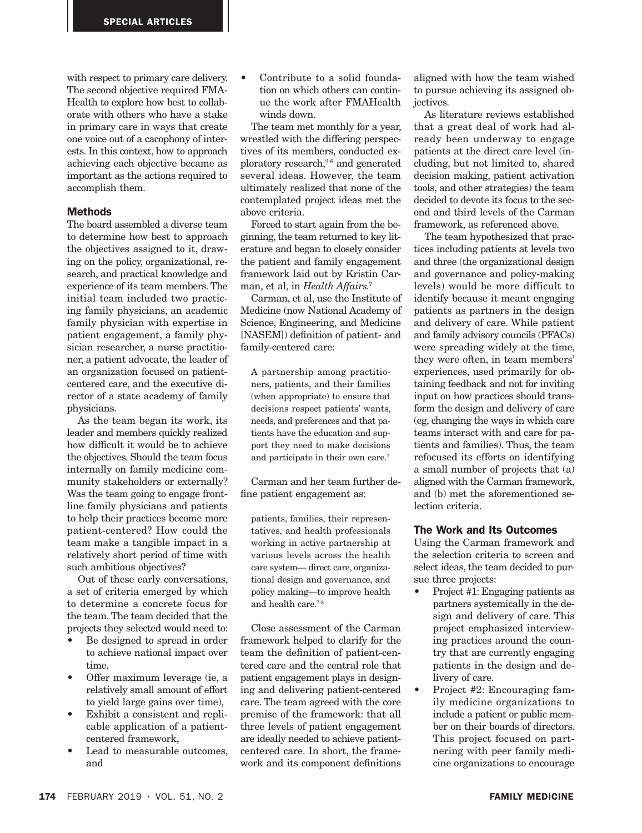with respect to primary care delivery. The second objective required FMA-Health to explore how best to collaborate with others who have a stake in primary care in ways that create one voice out of a cacophony of interests. In this context, how to approach achieving each objective became as important as the actions required to accomplish them.

#### **Methods**

The board assembled a diverse team to determine how best to approach the objectives assigned to it, drawing on the policy, organizational, research, and practical knowledge and experience of its team members. The initial team included two practicing family physicians, an academic family physician with expertise in patient engagement, a family physician researcher, a nurse practitioner, a patient advocate, the leader of an organization focused on patientcentered care, and the executive director of a state academy of family physicians.

As the team began its work, its leader and members quickly realized how difficult it would be to achieve the objectives. Should the team focus internally on family medicine community stakeholders or externally? Was the team going to engage frontline family physicians and patients to help their practices become more patient-centered? How could the team make a tangible impact in a relatively short period of time with such ambitious objectives?

Out of these early conversations, a set of criteria emerged by which to determine a concrete focus for the team. The team decided that the projects they selected would need to:

- Be designed to spread in order to achieve national impact over time,
- Offer maximum leverage (ie, a relatively small amount of effort to yield large gains over time),
- Exhibit a consistent and replicable application of a patientcentered framework,
- Lead to measurable outcomes and

Contribute to a solid foundation on which others can continue the work after FMAHealth winds down.

The team met monthly for a year, wrestled with the differing perspectives of its members, conducted exploratory research, $2-6$  and generated several ideas. However, the team ultimately realized that none of the contemplated project ideas met the above criteria.

Forced to start again from the beginning, the team returned to key literature and began to closely consider the patient and family engagement framework laid out by Kristin Carman, et al, in *Health Affairs.*<sup>7</sup>

Carman, et al, use the Institute of Medicine (now National Academy of Science, Engineering, and Medicine [NASEM]) definition of patient- and family-centered care:

A partnership among practitioners, patients, and their families (when appropriate) to ensure that decisions respect patients' wants, needs, and preferences and that patients have the education and support they need to make decisions and participate in their own care.7

Carman and her team further define patient engagement as:

patients, families, their representatives, and health professionals working in active partnership at various levels across the health care system— direct care, organizational design and governance, and policy making—to improve health and health care<sup>7-8</sup>

Close assessment of the Carman framework helped to clarify for the team the definition of patient-centered care and the central role that patient engagement plays in designing and delivering patient-centered care. The team agreed with the core premise of the framework: that all three levels of patient engagement are ideally needed to achieve patientcentered care. In short, the framework and its component definitions

aligned with how the team wished to pursue achieving its assigned objectives.

As literature reviews established that a great deal of work had already been underway to engage patients at the direct care level (including, but not limited to, shared decision making, patient activation tools, and other strategies) the team decided to devote its focus to the second and third levels of the Carman framework, as referenced above.

The team hypothesized that practices including patients at levels two and three (the organizational design and governance and policy-making levels) would be more difficult to identify because it meant engaging patients as partners in the design and delivery of care. While patient and family advisory councils (PFACs) were spreading widely at the time, they were often, in team members' experiences, used primarily for obtaining feedback and not for inviting input on how practices should transform the design and delivery of care (eg, changing the ways in which care teams interact with and care for patients and families). Thus, the team refocused its efforts on identifying a small number of projects that (a) aligned with the Carman framework, and (b) met the aforementioned selection criteria.

#### The Work and Its Outcomes

Using the Carman framework and the selection criteria to screen and select ideas, the team decided to pursue three projects:

- Project #1: Engaging patients as partners systemically in the design and delivery of care. This project emphasized interviewing practices around the country that are currently engaging patients in the design and delivery of care.
- Project #2: Encouraging family medicine organizations to include a patient or public member on their boards of directors. This project focused on partnering with peer family medicine organizations to encourage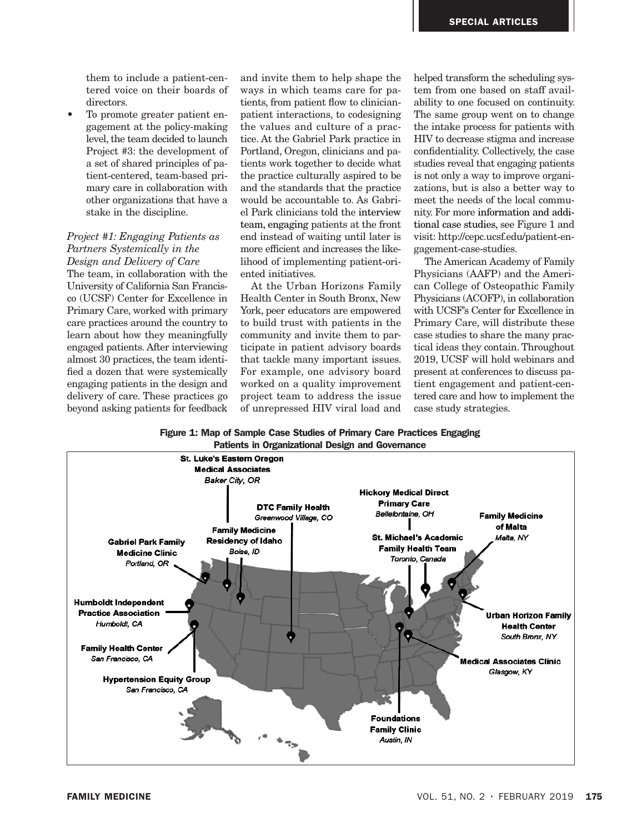them to include a patient-centered voice on their boards of directors.

To promote greater patient engagement at the policy-making level, the team decided to launch Project #3: the development of a set of shared principles of patient-centered, team-based primary care in collaboration with other organizations that have a stake in the discipline.

### *Project #1: Engaging Patients as Partners Systemically in the Design and Delivery of Care*

The team, in collaboration with the University of California San Francisco (UCSF) Center for Excellence in Primary Care, worked with primary care practices around the country to learn about how they meaningfully engaged patients. After interviewing almost 30 practices, the team identified a dozen that were systemically engaging patients in the design and delivery of care. These practices go beyond asking patients for feedback

and invite them to help shape the ways in which teams care for patients, from patient flow to clinicianpatient interactions, to codesigning the values and culture of a practice. At the Gabriel Park practice in Portland, Oregon, clinicians and patients work together to decide what the practice culturally aspired to be and the standards that the practice would be accountable to. As Gabriel Park clinicians told the interview team, engaging patients at the front end instead of waiting until later is more efficient and increases the likelihood of implementing patient-oriented initiatives.

At the Urban Horizons Family Health Center in South Bronx, New York, peer educators are empowered to build trust with patients in the community and invite them to participate in patient advisory boards that tackle many important issues. For example, one advisory board worked on a quality improvement project team to address the issue of unrepressed HIV viral load and helped transform the scheduling system from one based on staff availability to one focused on continuity. The same group went on to change the intake process for patients with HIV to decrease stigma and increase confidentiality. Collectively, the case studies reveal that engaging patients is not only a way to improve organizations, but is also a better way to meet the needs of the local community. For more information and additional case studies, see Figure 1 and visit: http://cepc.ucsf.edu/patient-engagement-case-studies.

The American Academy of Family Physicians (AAFP) and the American College of Osteopathic Family Physicians (ACOFP), in collaboration with UCSF's Center for Excellence in Primary Care, will distribute these case studies to share the many practical ideas they contain. Throughout 2019, UCSF will hold webinars and present at conferences to discuss patient engagement and patient-centered care and how to implement the case study strategies.

Figure 1: Map of Sample Case Studies of Primary Care Practices Engaging Patients in Organizational Design and Governance

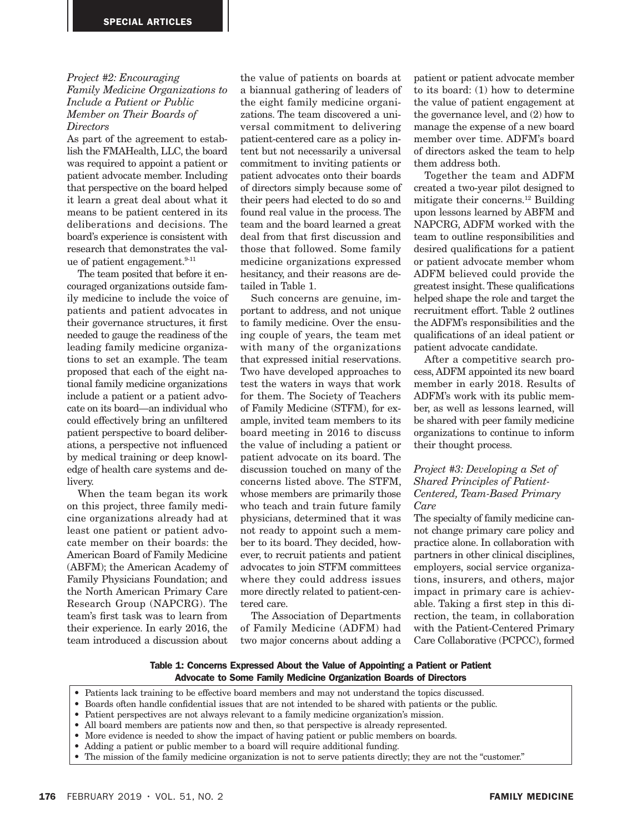#### *Project #2: Encouraging Family Medicine Organizations to Include a Patient or Public Member on Their Boards of*

## *Directors*

As part of the agreement to establish the FMAHealth, LLC, the board was required to appoint a patient or patient advocate member. Including that perspective on the board helped it learn a great deal about what it means to be patient centered in its deliberations and decisions. The board's experience is consistent with research that demonstrates the value of patient engagement.<sup>9-11</sup>

The team posited that before it encouraged organizations outside family medicine to include the voice of patients and patient advocates in their governance structures, it first needed to gauge the readiness of the leading family medicine organizations to set an example. The team proposed that each of the eight national family medicine organizations include a patient or a patient advocate on its board—an individual who could effectively bring an unfiltered patient perspective to board deliberations, a perspective not influenced by medical training or deep knowledge of health care systems and delivery.

When the team began its work on this project, three family medicine organizations already had at least one patient or patient advocate member on their boards: the American Board of Family Medicine (ABFM); the American Academy of Family Physicians Foundation; and the North American Primary Care Research Group (NAPCRG). The team's first task was to learn from their experience. In early 2016, the team introduced a discussion about

the value of patients on boards at a biannual gathering of leaders of the eight family medicine organizations. The team discovered a universal commitment to delivering patient-centered care as a policy intent but not necessarily a universal commitment to inviting patients or patient advocates onto their boards of directors simply because some of their peers had elected to do so and found real value in the process. The team and the board learned a great deal from that first discussion and those that followed. Some family medicine organizations expressed hesitancy, and their reasons are detailed in Table 1.

Such concerns are genuine, important to address, and not unique to family medicine. Over the ensuing couple of years, the team met with many of the organizations that expressed initial reservations. Two have developed approaches to test the waters in ways that work for them. The Society of Teachers of Family Medicine (STFM), for example, invited team members to its board meeting in 2016 to discuss the value of including a patient or patient advocate on its board. The discussion touched on many of the concerns listed above. The STFM, whose members are primarily those who teach and train future family physicians, determined that it was not ready to appoint such a member to its board. They decided, however, to recruit patients and patient advocates to join STFM committees where they could address issues more directly related to patient-centered care.

The Association of Departments of Family Medicine (ADFM) had two major concerns about adding a patient or patient advocate member to its board: (1) how to determine the value of patient engagement at the governance level, and (2) how to manage the expense of a new board member over time. ADFM's board of directors asked the team to help them address both.

Together the team and ADFM created a two-year pilot designed to mitigate their concerns.12 Building upon lessons learned by ABFM and NAPCRG, ADFM worked with the team to outline responsibilities and desired qualifications for a patient or patient advocate member whom ADFM believed could provide the greatest insight. These qualifications helped shape the role and target the recruitment effort. Table 2 outlines the ADFM's responsibilities and the qualifications of an ideal patient or patient advocate candidate.

After a competitive search process, ADFM appointed its new board member in early 2018. Results of ADFM's work with its public member, as well as lessons learned, will be shared with peer family medicine organizations to continue to inform their thought process.

#### *Project #3: Developing a Set of Shared Principles of Patient-Centered, Team-Based Primary Care*

The specialty of family medicine cannot change primary care policy and practice alone. In collaboration with partners in other clinical disciplines, employers, social service organizations, insurers, and others, major impact in primary care is achievable. Taking a first step in this direction, the team, in collaboration with the Patient-Centered Primary Care Collaborative (PCPCC), formed

Table 1: Concerns Expressed About the Value of Appointing a Patient or Patient Advocate to Some Family Medicine Organization Boards of Directors

- Patients lack training to be effective board members and may not understand the topics discussed.
- Boards often handle confidential issues that are not intended to be shared with patients or the public.
- Patient perspectives are not always relevant to a family medicine organization's mission.
- All board members are patients now and then, so that perspective is already represented.
- More evidence is needed to show the impact of having patient or public members on boards.
- Adding a patient or public member to a board will require additional funding.
- The mission of the family medicine organization is not to serve patients directly; they are not the "customer."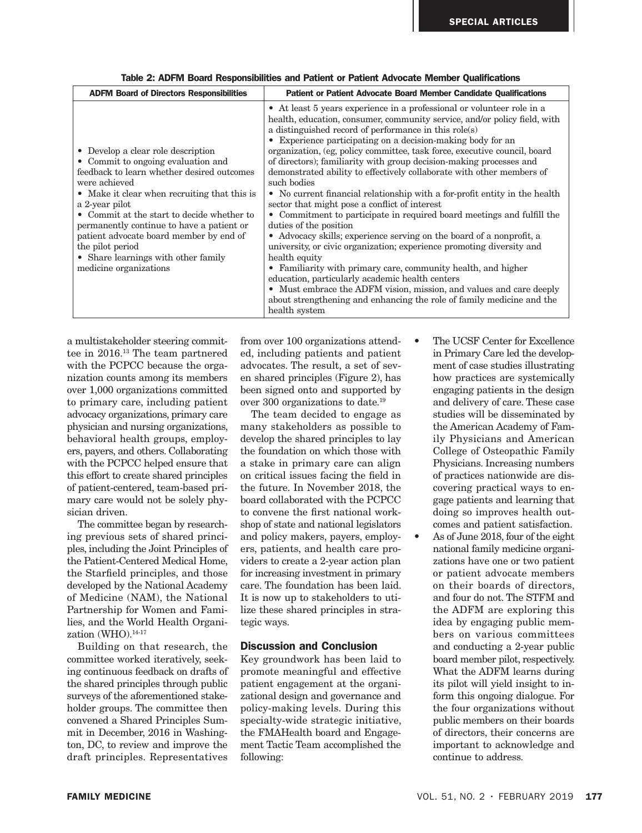| <b>ADFM Board of Directors Responsibilities</b>                                                                                                                                                                                                                                                                                                                                                                                      | Patient or Patient Advocate Board Member Candidate Qualifications                                                                                                                                                                                                                                                                                                                                                                                                                                                                                                                                                                                                                                                                                                                                                                                                                                                                                                                                                                                                                                                                                                                                                 |  |
|--------------------------------------------------------------------------------------------------------------------------------------------------------------------------------------------------------------------------------------------------------------------------------------------------------------------------------------------------------------------------------------------------------------------------------------|-------------------------------------------------------------------------------------------------------------------------------------------------------------------------------------------------------------------------------------------------------------------------------------------------------------------------------------------------------------------------------------------------------------------------------------------------------------------------------------------------------------------------------------------------------------------------------------------------------------------------------------------------------------------------------------------------------------------------------------------------------------------------------------------------------------------------------------------------------------------------------------------------------------------------------------------------------------------------------------------------------------------------------------------------------------------------------------------------------------------------------------------------------------------------------------------------------------------|--|
| • Develop a clear role description<br>• Commit to ongoing evaluation and<br>feedback to learn whether desired outcomes<br>were achieved<br>• Make it clear when recruiting that this is<br>a 2-year pilot<br>• Commit at the start to decide whether to<br>permanently continue to have a patient or<br>patient advocate board member by end of<br>the pilot period<br>• Share learnings with other family<br>medicine organizations | • At least 5 years experience in a professional or volunteer role in a<br>health, education, consumer, community service, and/or policy field, with<br>a distinguished record of performance in this role(s)<br>• Experience participating on a decision-making body for an<br>organization, (eg, policy committee, task force, executive council, board<br>of directors); familiarity with group decision-making processes and<br>demonstrated ability to effectively collaborate with other members of<br>such bodies<br>• No current financial relationship with a for-profit entity in the health<br>sector that might pose a conflict of interest<br>• Commitment to participate in required board meetings and fulfill the<br>duties of the position<br>• Advocacy skills; experience serving on the board of a nonprofit, a<br>university, or civic organization; experience promoting diversity and<br>health equity<br>• Familiarity with primary care, community health, and higher<br>education, particularly academic health centers<br>• Must embrace the ADFM vision, mission, and values and care deeply<br>about strengthening and enhancing the role of family medicine and the<br>health system |  |

| Table 2: ADFM Board Responsibilities and Patient or Patient Advocate Member Qualifications |  |  |
|--------------------------------------------------------------------------------------------|--|--|
|--------------------------------------------------------------------------------------------|--|--|

a multistakeholder steering committee in 2016.13 The team partnered with the PCPCC because the organization counts among its members over 1,000 organizations committed to primary care, including patient advocacy organizations, primary care physician and nursing organizations, behavioral health groups, employers, payers, and others. Collaborating with the PCPCC helped ensure that this effort to create shared principles of patient-centered, team-based primary care would not be solely physician driven.

The committee began by researching previous sets of shared principles, including the Joint Principles of the Patient-Centered Medical Home, the Starfield principles, and those developed by the National Academy of Medicine (NAM), the National Partnership for Women and Families, and the World Health Organization (WHO).14-17

Building on that research, the committee worked iteratively, seeking continuous feedback on drafts of the shared principles through public surveys of the aforementioned stakeholder groups. The committee then convened a Shared Principles Summit in December, 2016 in Washington, DC, to review and improve the draft principles. Representatives

from over 100 organizations attended, including patients and patient advocates. The result, a set of seven shared principles (Figure 2), has been signed onto and supported by over 300 organizations to date.19

The team decided to engage as many stakeholders as possible to develop the shared principles to lay the foundation on which those with a stake in primary care can align on critical issues facing the field in the future. In November 2018, the board collaborated with the PCPCC to convene the first national workshop of state and national legislators and policy makers, payers, employers, patients, and health care providers to create a 2-year action plan for increasing investment in primary care. The foundation has been laid. It is now up to stakeholders to utilize these shared principles in strategic ways.

#### Discussion and Conclusion

Key groundwork has been laid to promote meaningful and effective patient engagement at the organizational design and governance and policy-making levels. During this specialty-wide strategic initiative, the FMAHealth board and Engagement Tactic Team accomplished the following:

- The UCSF Center for Excellence in Primary Care led the development of case studies illustrating how practices are systemically engaging patients in the design and delivery of care. These case studies will be disseminated by the American Academy of Family Physicians and American College of Osteopathic Family Physicians. Increasing numbers of practices nationwide are discovering practical ways to engage patients and learning that doing so improves health outcomes and patient satisfaction.
- As of June 2018, four of the eight national family medicine organizations have one or two patient or patient advocate members on their boards of directors, and four do not. The STFM and the ADFM are exploring this idea by engaging public members on various committees and conducting a 2-year public board member pilot, respectively. What the ADFM learns during its pilot will yield insight to inform this ongoing dialogue. For the four organizations without public members on their boards of directors, their concerns are important to acknowledge and continue to address.